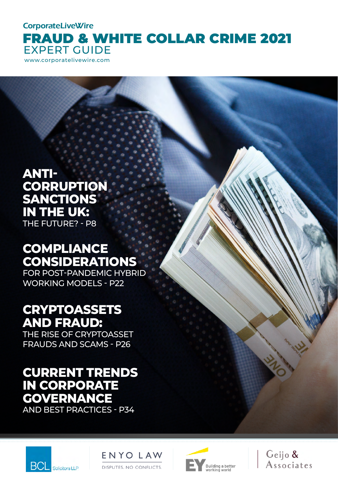**CorporateLiveWire** 

FRAUD & WHITE COLLAR CRIME 2021 EXPERT GUIDE

www.corporatelivewire.com

**ANTI-CORRUPTION SANCTIONS IN THE UK:**  THE FUTURE? - P8

# **COMPLIANCE CONSIDERATIONS**

FOR POST-PANDEMIC HYBRID WORKING MODELS - P22

# **CRYPTOASSETS AND FRAUD:**

THE RISE OF CRYPTOASSET FRAUDS AND SCAMS - P26

# **CURRENT TRENDS IN CORPORATE GOVERNANCE** AND BEST PRACTICES - P34







Geijo & Associates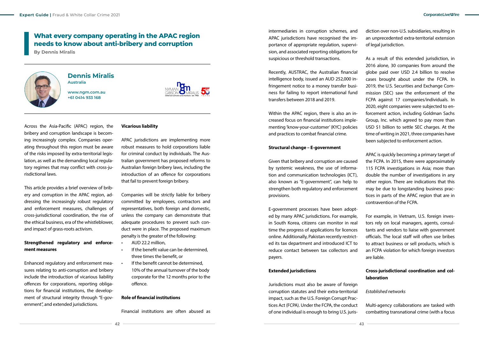# **What every company operating in the APAC region needs to know about anti-bribery and corruption**

**By Dennis Miralis**



#### **Dennis Miralis Australia**

**www.ngm.com.au +61 0414 933 168**



Across the Asia-Pacific (APAC) region, the bribery and corruption landscape is becoming increasingly complex. Companies operating throughout this region must be aware of the risks imposed by extra-territorial legislation, as well as the demanding local regulatory regimes that may conflict with cross-jurisdictional laws.

This article provides a brief overview of bribery and corruption in the APAC region, addressing the increasingly robust regulatory and enforcement measures, challenges of cross-jurisdictional coordination, the rise of the ethical business, era of the whistleblower, and impact of grass-roots activism.

### **Strengthened regulatory and enforcement measures**

Enhanced regulatory and enforcement measures relating to anti-corruption and bribery include the introduction of vicarious liability offences for corporations, reporting obligations for financial institutions, the development of structural integrity through "E-government", and extended jurisdictions.

### **Vicarious liability**

APAC jurisdictions are implementing more robust measures to hold corporations liable for criminal conduct by individuals. The Australian government has proposed reforms to Australian foreign bribery laws, including the introduction of an offence for corporations that fail to prevent foreign bribery.

Companies will be strictly liable for bribery committed by employees, contractors and representatives, both foreign and domestic, unless the company can demonstrate that adequate procedures to prevent such conduct were in place. The proposed maximum penalty is the greater of the following:

- AUD 22.2 million,
- If the benefit value can be determined. three times the benefit, or
- If the benefit cannot be determined. 10% of the annual turnover of the body corporate for the 12 months prior to the offence.

#### **Role of financial institutions**

Financial institutions are often abused as

intermediaries in corruption schemes, and APAC jurisdictions have recognised the importance of appropriate regulation, supervision, and associated reporting obligations for suspicious or threshold transactions.

Recently, AUSTRAC, the Australian financial intelligence body, issued an AUD 252,000 infringement notice to a money transfer business for failing to report international fund transfers between 2018 and 2019.

Within the APAC region, there is also an increased focus on financial institutions implementing 'know-your-customer' (KYC) policies and practices to combat financial crime.

#### **Structural change – E-government**

Given that bribery and corruption are caused by systemic weakness, the use of information and communication technologies (ICT), also known as "E-government", can help to strengthen both regulatory and enforcement provisions.

E-government processes have been adopted by many APAC jurisdictions. For example, in South Korea, citizens can monitor in real time the progress of applications for licences online. Additionally, Pakistan recently restricted its tax department and introduced ICT to reduce contact between tax collectors and payers.

#### **Extended jurisdictions**

Jurisdictions must also be aware of foreign corruption statutes and their extra-territorial impact, such as the U.S. Foreign Corrupt Practices Act (FCPA). Under the FCPA, the conduct of one individual is enough to bring U.S. jurisdiction over non-U.S. subsidiaries, resulting in an unprecedented extra-territorial extension of legal jurisdiction.

As a result of this extended jurisdiction, in 2016 alone, 30 companies from around the globe paid over USD 2.4 billion to resolve cases brought about under the FCPA. In 2019, the U.S. Securities and Exchange Commission (SEC) saw the enforcement of the FCPA against 17 companies/individuals. In 2020, eight companies were subjected to enforcement action, including Goldman Sachs Group, Inc. which agreed to pay more than USD \$1 billion to settle SEC charges. At the time of writing in 2021, three companies have been subjected to enforcement action.

APAC is quickly becoming a primary target of the FCPA. In 2015, there were approximately 115 FCPA investigations in Asia; more than double the number of investigations in any other region. There are indications that this may be due to longstanding business practices in parts of the APAC region that are in contravention of the FCPA.

For example, in Vietnam, U.S. foreign investors rely on local managers, agents, consultants and vendors to liaise with government officials. The local staff will often use bribes to attract business or sell products, which is an FCPA violation for which foreign investors are liable.

## **Cross-jurisdictional coordination and collaboration**

*Established networks*

Multi-agency collaborations are tasked with combatting transnational crime (with a focus